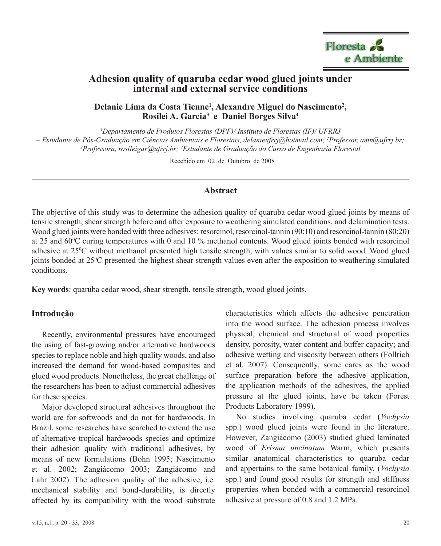

# **Adhesion quality of quaruba cedar wood glued joints under internal and external service conditions**

Delanie Lima da Costa Tienne<sup>1</sup>, Alexandre Miguel do Nascimento<sup>2</sup>, **Rosilei A. Garcia3 e Daniel Borges Silva4**

*1 Departamento de Produtos Florestas (DPF)/ Instituto de Florestas (IF)/ UFRRJ – Estudante de Pós-Graduação em Ciências Ambientais e Florestais, delanieufrrj@hotmail.com; 2 Professor, amn@ufrrj.br; 3 Professora, rosileigar@ufrrj.br; 4 Estudante de Graduação do Curso de Engenharia Florestal*

Recebido em 02 de Outubro de 2008

## **Abstract**

The objective of this study was to determine the adhesion quality of quaruba cedar wood glued joints by means of tensile strength, shear strength before and after exposure to weathering simulated conditions, and delamination tests. Wood glued joints were bonded with three adhesives: resorcinol, resorcinol-tannin (90:10) and resorcinol-tannin (80:20) at 25 and 60<sup>o</sup>C curing temperatures with 0 and 10 % methanol contents. Wood glued joints bonded with resorcinol adhesive at 25<sup>o</sup>C without methanol presented high tensile strength, with values similar to solid wood. Wood glued joints bonded at 25<sup>o</sup>C presented the highest shear strength values even after the exposition to weathering simulated conditions.

**Key words**: quaruba cedar wood, shear strength, tensile strength, wood glued joints.

#### **Introdução**

Recently, environmental pressures have encouraged the using of fast-growing and/or alternative hardwoods species to replace noble and high quality woods, and also increased the demand for wood-based composites and glued wood products. Nonetheless, the great challenge of the researchers has been to adjust commercial adhesives for these species.

Major developed structural adhesives throughout the world are for softwoods and do not for hardwoods. In Brazil, some researches have searched to extend the use of alternative tropical hardwoods species and optimize their adhesion quality with traditional adhesives, by means of new formulations (Bohn 1995; Nascimento et al. 2002; Zangiácomo 2003; Zangiácomo and Lahr 2002). The adhesion quality of the adhesive, i.e. mechanical stability and bond-durability, is directly affected by its compatibility with the wood substrate characteristics which affects the adhesive penetration into the wood surface. The adhesion process involves physical, chemical and structural of wood properties density, porosity, water content and buffer capacity; and adhesive wetting and viscosity between others (Follrich et al. 2007). Consequently, some cares as the wood surface preparation before the adhesive application, the application methods of the adhesives, the applied pressure at the glued joints, have be taken (Forest Products Laboratory 1999).

No studies involving quaruba cedar (*Vochysia* spp.) wood glued joints were found in the literature. However, Zangiácomo (2003) studied glued laminated wood of *Erisma uncinatum* Warm, which presents similar anatomical characteristics to quaruba cedar and appertains to the same botanical family, (*Vochysia* spp.) and found good results for strength and stiffness properties when bonded with a commercial resorcinol adhesive at pressure of 0.8 and 1.2 MPa.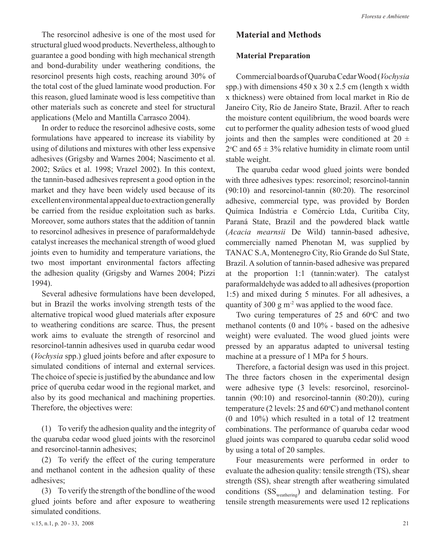The resorcinol adhesive is one of the most used for structural glued wood products. Nevertheless, although to guarantee a good bonding with high mechanical strength and bond-durability under weathering conditions, the resorcinol presents high costs, reaching around 30% of the total cost of the glued laminate wood production. For this reason, glued laminate wood is less competitive than other materials such as concrete and steel for structural applications (Melo and Mantilla Carrasco 2004).

In order to reduce the resorcinol adhesive costs, some formulations have appeared to increase its viability by using of dilutions and mixtures with other less expensive adhesives (Grigsby and Warnes 2004; Nascimento et al. 2002; Szücs et al. 1998; Vrazel 2002). In this context, the tannin-based adhesives represent a good option in the market and they have been widely used because of its excellent environmental appeal due to extraction generally be carried from the residue exploitation such as barks. Moreover, some authors states that the addition of tannin to resorcinol adhesives in presence of paraformaldehyde catalyst increases the mechanical strength of wood glued joints even to humidity and temperature variations, the two most important environmental factors affecting the adhesion quality (Grigsby and Warnes 2004; Pizzi 1994).

Several adhesive formulations have been developed, but in Brazil the works involving strength tests of the alternative tropical wood glued materials after exposure to weathering conditions are scarce. Thus, the present work aims to evaluate the strength of resorcinol and resorcinol-tannin adhesives used in quaruba cedar wood (*Vochysia* spp.) glued joints before and after exposure to simulated conditions of internal and external services. The choice of specie is justified by the abundance and low price of queruba cedar wood in the regional market, and also by its good mechanical and machining properties. Therefore, the objectives were:

(1) To verify the adhesion quality and the integrity of the quaruba cedar wood glued joints with the resorcinol and resorcinol-tannin adhesives;

(2) To verify the effect of the curing temperature and methanol content in the adhesion quality of these adhesives;

(3) To verify the strength of the bondline of the wood glued joints before and after exposure to weathering simulated conditions.

# **Material and Methods**

## **Material Preparation**

Commercial boards of Quaruba Cedar Wood (*Vochysia*  spp.) with dimensions 450 x 30 x 2.5 cm (length x width x thickness) were obtained from local market in Rio de Janeiro City, Rio de Janeiro State, Brazil. After to reach the moisture content equilibrium, the wood boards were cut to performer the quality adhesion tests of wood glued joints and then the samples were conditioned at  $20 \pm$  $2^{\circ}$ C and 65  $\pm$  3% relative humidity in climate room until stable weight.

The quaruba cedar wood glued joints were bonded with three adhesives types: resorcinol; resorcinol-tannin (90:10) and resorcinol-tannin (80:20). The resorcinol adhesive, commercial type, was provided by Borden Química Indústria e Comércio Ltda, Curitiba City, Paraná State, Brazil and the powdered black wattle (*Acacia mearnsii* De Wild) tannin-based adhesive, commercially named Phenotan M, was supplied by TANAC S.A, Montenegro City, Rio Grande do Sul State, Brazil. A solution of tannin-based adhesive was prepared at the proportion 1:1 (tannin:water). The catalyst paraformaldehyde was added to all adhesives (proportion 1:5) and mixed during 5 minutes. For all adhesives, a quantity of 300 g  $m<sup>2</sup>$  was applied to the wood face.

Two curing temperatures of  $25$  and  $60^{\circ}$ C and two methanol contents (0 and 10% - based on the adhesive weight) were evaluated. The wood glued joints were pressed by an apparatus adapted to universal testing machine at a pressure of 1 MPa for 5 hours.

Therefore, a factorial design was used in this project. The three factors chosen in the experimental design were adhesive type (3 levels: resorcinol, resorcinoltannin (90:10) and resorcinol-tannin (80:20)), curing temperature (2 levels:  $25$  and  $60^{\circ}$ C) and methanol content (0 and 10%) which resulted in a total of 12 treatment combinations. The performance of quaruba cedar wood glued joints was compared to quaruba cedar solid wood by using a total of 20 samples.

Four measurements were performed in order to evaluate the adhesion quality: tensile strength (TS), shear strength (SS), shear strength after weathering simulated conditions  $(SS_{\text{weathering}})$  and delamination testing. For tensile strength measurements were used 12 replications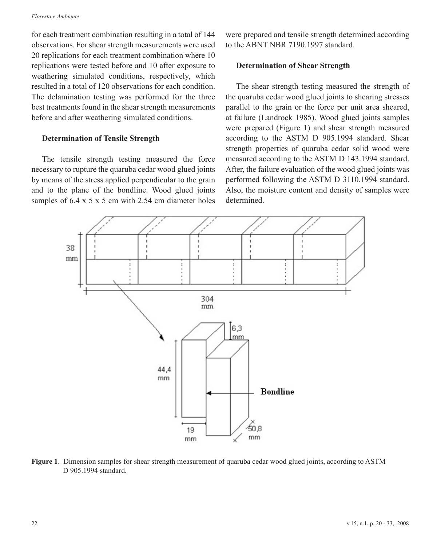#### *Floresta e Ambiente*

for each treatment combination resulting in a total of 144 observations. For shear strength measurements were used 20 replications for each treatment combination where 10 replications were tested before and 10 after exposure to weathering simulated conditions, respectively, which resulted in a total of 120 observations for each condition. The delamination testing was performed for the three best treatments found in the shear strength measurements before and after weathering simulated conditions.

## **Determination of Tensile Strength**

The tensile strength testing measured the force necessary to rupture the quaruba cedar wood glued joints by means of the stress applied perpendicular to the grain and to the plane of the bondline. Wood glued joints samples of 6.4 x 5 x 5 cm with 2.54 cm diameter holes were prepared and tensile strength determined according to the ABNT NBR 7190.1997 standard.

### **Determination of Shear Strength**

The shear strength testing measured the strength of the quaruba cedar wood glued joints to shearing stresses parallel to the grain or the force per unit area sheared, at failure (Landrock 1985). Wood glued joints samples were prepared (Figure 1) and shear strength measured according to the ASTM D 905.1994 standard. Shear strength properties of quaruba cedar solid wood were measured according to the ASTM D 143.1994 standard. After, the failure evaluation of the wood glued joints was performed following the ASTM D 3110.1994 standard. Also, the moisture content and density of samples were determined.



**Figure 1**. Dimension samples for shear strength measurement of quaruba cedar wood glued joints, according to ASTM D 905.1994 standard.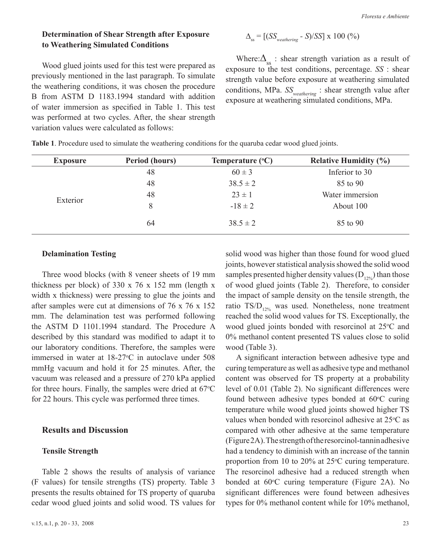# **Determination of Shear Strength after Exposure to Weathering Simulated Conditions**

Wood glued joints used for this test were prepared as previously mentioned in the last paragraph. To simulate the weathering conditions, it was chosen the procedure B from ASTM D 1183.1994 standard with addition of water immersion as specified in Table 1. This test was performed at two cycles. After, the shear strength variation values were calculated as follows:

$$
\Delta_{\rm ss} = \left[ \frac{(SS_{\rm{weathering}} - S)}{SS} \right] \times 100 \, (%)
$$

Where: $\Delta_{ss}$  : shear strength variation as a result of exposure to the test conditions, percentage. *SS* : shear strength value before exposure at weathering simulated conditions, MPa. *SS<sub>weathering</sub>* : shear strength value after exposure at weathering simulated conditions, MPa.

| <b>Exposure</b> | Period (hours) | Temperature $(^{\circ}C)$ | <b>Relative Humidity (%)</b> |
|-----------------|----------------|---------------------------|------------------------------|
|                 | 48             | $60 \pm 3$                | Inferior to 30               |
| Exterior        | 48             | $38.5 \pm 2$              | 85 to 90                     |
|                 | 48             | $23 \pm 1$                | Water immersion              |
|                 | 8              | $-18 \pm 2$               | About 100                    |
|                 | 64             | $38.5 \pm 2$              | 85 to 90                     |

**Table 1**. Procedure used to simulate the weathering conditions for the quaruba cedar wood glued joints.

## **Delamination Testing**

Three wood blocks (with 8 veneer sheets of 19 mm thickness per block) of 330 x 76 x 152 mm (length x width x thickness) were pressing to glue the joints and after samples were cut at dimensions of 76 x 76 x 152 mm. The delamination test was performed following the ASTM D 1101.1994 standard. The Procedure A described by this standard was modified to adapt it to our laboratory conditions. Therefore, the samples were immersed in water at  $18-27$ °C in autoclave under 508 mmHg vacuum and hold it for 25 minutes. After, the vacuum was released and a pressure of 270 kPa applied for three hours. Finally, the samples were dried at  $67^{\circ}$ C for 22 hours. This cycle was performed three times.

## **Results and Discussion**

### **Tensile Strength**

Table 2 shows the results of analysis of variance (F values) for tensile strengths (TS) property. Table 3 presents the results obtained for TS property of quaruba cedar wood glued joints and solid wood. TS values for solid wood was higher than those found for wood glued joints, however statistical analysis showed the solid wood samples presented higher density values  $(D_{12\%})$  than those of wood glued joints (Table 2). Therefore, to consider the impact of sample density on the tensile strength, the ratio  $TS/D_{12\%}$  was used. Nonetheless, none treatment reached the solid wood values for TS. Exceptionally, the wood glued joints bonded with resorcinol at  $25^{\circ}$ C and 0% methanol content presented TS values close to solid wood (Table 3).

A significant interaction between adhesive type and curing temperature as well as adhesive type and methanol content was observed for TS property at a probability level of 0.01 (Table 2). No significant differences were found between adhesive types bonded at  $60^{\circ}$ C curing temperature while wood glued joints showed higher TS values when bonded with resorcinol adhesive at  $25^{\circ}$ C as compared with other adhesive at the same temperature (Figure 2A). The strength of the resorcinol-tannin adhesive had a tendency to diminish with an increase of the tannin proportion from 10 to 20% at  $25^{\circ}$ C curing temperature. The resorcinol adhesive had a reduced strength when bonded at 60°C curing temperature (Figure 2A). No significant differences were found between adhesives types for 0% methanol content while for 10% methanol,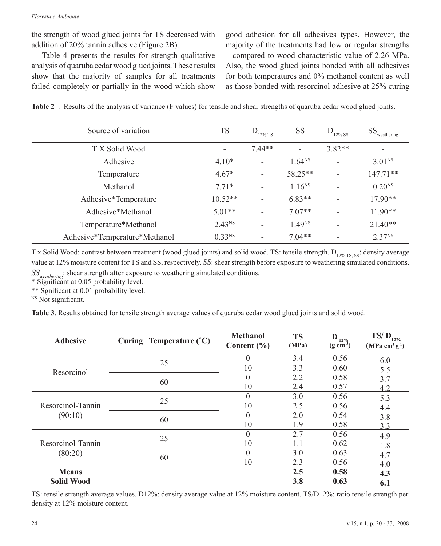the strength of wood glued joints for TS decreased with addition of 20% tannin adhesive (Figure 2B).

Table 4 presents the results for strength qualitative analysis of quaruba cedar wood glued joints. These results show that the majority of samples for all treatments failed completely or partially in the wood which show

good adhesion for all adhesives types. However, the majority of the treatments had low or regular strengths – compared to wood characteristic value of 2.26 MPa. Also, the wood glued joints bonded with all adhesives for both temperatures and 0% methanol content as well as those bonded with resorcinol adhesive at 25% curing

|  |  |  |  |  | Table 2. Results of the analysis of variance (F values) for tensile and shear strengths of quaruba cedar wood glued joints. |
|--|--|--|--|--|-----------------------------------------------------------------------------------------------------------------------------|
|--|--|--|--|--|-----------------------------------------------------------------------------------------------------------------------------|

| Source of variation           | <b>TS</b>          | $D_{12\%}$ TS            | <b>SS</b>                | $D_{12\%}$ SS            | $\text{SS}_{\text{weathering}}$ |
|-------------------------------|--------------------|--------------------------|--------------------------|--------------------------|---------------------------------|
| T X Solid Wood                | -                  | $7.44**$                 | $\overline{\phantom{0}}$ | $3.82**$                 |                                 |
| Adhesive                      | $4.10*$            | $\overline{\phantom{a}}$ | $1.64^{NS}$              | $\overline{\phantom{a}}$ | 3.01 <sup>NS</sup>              |
| Temperature                   | $4.67*$            | $\overline{\phantom{a}}$ | 58.25**                  | $\overline{\phantom{0}}$ | $147.71**$                      |
| Methanol                      | $7.71*$            |                          | $1.16^{NS}$              | $\overline{\phantom{0}}$ | 0.20 <sup>NS</sup>              |
| Adhesive*Temperature          | $10.52**$          |                          | $6.83**$                 | $\overline{\phantom{a}}$ | 17.90**                         |
| Adhesive*Methanol             | $5.01**$           |                          | $7.07**$                 |                          | $11.90**$                       |
| Temperature*Methanol          | 2.43 <sup>NS</sup> | $\overline{\phantom{a}}$ | 1.49 <sup>NS</sup>       | $\overline{\phantom{a}}$ | $21.40**$                       |
| Adhesive*Temperature*Methanol | 0.33 <sup>NS</sup> |                          | $7.04**$                 |                          | 2.37 <sup>NS</sup>              |

T x Solid Wood: contrast between treatment (wood glued joints) and solid wood. TS: tensile strength. D<sub>12% TS, SS</sub>: density average value at 12% moisture content for TS and SS, respectively. *SS*: shear strength before exposure to weathering simulated conditions. *SSweathering*: shear strength after exposure to weathering simulated conditions.

\* Significant at 0.05 probability level.

\*\* Sgnificant at 0.01 probability level.

<sup>NS</sup> Not significant.

**Table 3**. Results obtained for tensile strength average values of quaruba cedar wood glued joints and solid wood.

| <b>Adhesive</b>   | Curing Temperature (°C) | <b>Methanol</b><br>Content $(\% )$ | <b>TS</b><br>(MPa) | ${\bf D}_{12\%}$<br>$(g \text{ cm}^{-3})$ | TS/ $D_{12\%}$<br>$(MPa cm3 g-1)$ |
|-------------------|-------------------------|------------------------------------|--------------------|-------------------------------------------|-----------------------------------|
|                   | 25                      | $\theta$                           | 3.4                | 0.56                                      | 6.0                               |
| Resorcinol        |                         | 10                                 | 3.3                | 0.60                                      | 5.5                               |
|                   |                         | $\theta$                           | 2.2                | 0.58                                      | 3.7                               |
|                   | 60                      | 10                                 | 2.4                | 0.57                                      | 4.2                               |
|                   |                         | $\theta$                           | 3.0                | 0.56                                      | 5.3                               |
| Resorcinol-Tannin | 25                      | 10                                 | 2.5                | 0.56                                      | 4.4                               |
| (90:10)           | 60                      | $\theta$                           | 2.0                | 0.54                                      | 3.8                               |
|                   |                         | 10                                 | 1.9                | 0.58                                      | 33                                |
|                   |                         | $\theta$                           | 2.7                | 0.56                                      | 4.9                               |
| Resorcinol-Tannin | 25                      | 10                                 | 1.1                | 0.62                                      | 1.8                               |
| (80:20)           |                         | $\theta$                           | 3.0                | 0.63                                      | 4.7                               |
|                   | 60                      | 10                                 | 2.3                | 0.56                                      | 4.0                               |
| <b>Means</b>      |                         |                                    | 2.5                | 0.58                                      | 4.3                               |
| <b>Solid Wood</b> |                         |                                    | 3.8                | 0.63                                      | 6.1                               |

TS: tensile strength average values. D12%: density average value at 12% moisture content. TS/D12%: ratio tensile strength per density at 12% moisture content.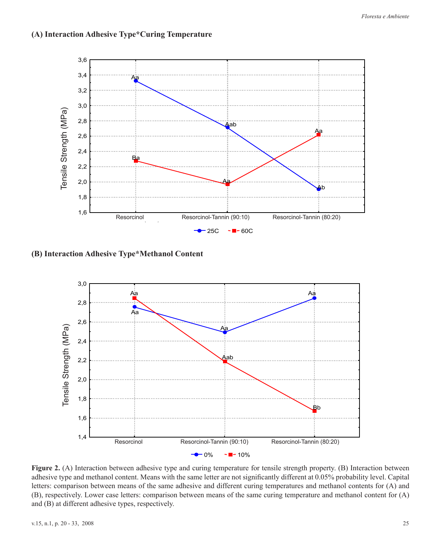

**(A) Interaction Adhesive Type\*Curing Temperature**

**(B) Interaction Adhesive Type\*Methanol Content**



**Figure 2.** (A) Interaction between adhesive type and curing temperature for tensile strength property. (B) Interaction between adhesive type and methanol content. Means with the same letter are not significantly different at 0.05% probability level. Capital letters: comparison between means of the same adhesive and different curing temperatures and methanol contents for (A) and (B), respectively. Lower case letters: comparison between means of the same curing temperature and methanol content for (A) and (B) at different adhesive types, respectively.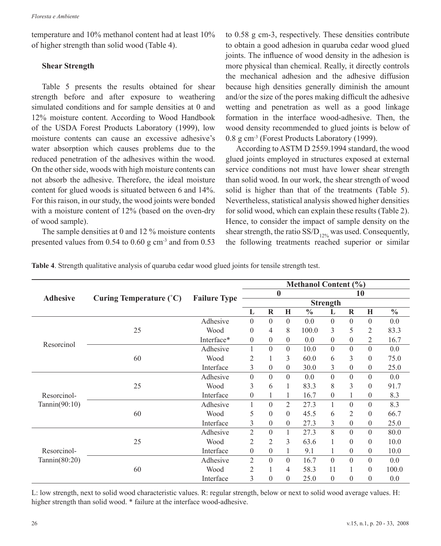temperature and 10% methanol content had at least 10% of higher strength than solid wood (Table 4).

## **Shear Strength**

Table 5 presents the results obtained for shear strength before and after exposure to weathering simulated conditions and for sample densities at 0 and 12% moisture content. According to Wood Handbook of the USDA Forest Products Laboratory (1999), low moisture contents can cause an excessive adhesive's water absorption which causes problems due to the reduced penetration of the adhesives within the wood. On the other side, woods with high moisture contents can not absorb the adhesive. Therefore, the ideal moisture content for glued woods is situated between 6 and 14%. For this raison, in our study, the wood joints were bonded with a moisture content of 12% (based on the oven-dry of wood sample).

The sample densities at 0 and 12 % moisture contents presented values from  $0.54$  to  $0.60$  g cm<sup>-3</sup> and from  $0.53$  to 0.58 g cm-3, respectively. These densities contribute to obtain a good adhesion in quaruba cedar wood glued joints. The influence of wood density in the adhesion is more physical than chemical. Really, it directly controls the mechanical adhesion and the adhesive diffusion because high densities generally diminish the amount and/or the size of the pores making difficult the adhesive wetting and penetration as well as a good linkage formation in the interface wood-adhesive. Then, the wood density recommended to glued joints is below of 0.8 g cm-3 (Forest Products Laboratory (1999).

According to ASTM D 2559.1994 standard, the wood glued joints employed in structures exposed at external service conditions not must have lower shear strength than solid wood. In our work, the shear strength of wood solid is higher than that of the treatments (Table 5). Nevertheless, statistical analysis showed higher densities for solid wood, which can explain these results (Table 2). Hence, to consider the impact of sample density on the shear strength, the ratio  $SS/D_{12\%}$  was used. Consequently, the following treatments reached superior or similar

**Table 4**. Strength qualitative analysis of quaruba cedar wood glued joints for tensile strength test.

|                  | Curing Temperature $(^{\circ}C)$ |                     | <b>Methanol Content (%)</b> |          |                  |               |                 |          |                |               |
|------------------|----------------------------------|---------------------|-----------------------------|----------|------------------|---------------|-----------------|----------|----------------|---------------|
|                  |                                  |                     |                             |          | $\bf{0}$         |               |                 |          | 10             |               |
| <b>Adhesive</b>  |                                  | <b>Failure Type</b> |                             |          |                  |               | <b>Strength</b> |          |                |               |
|                  |                                  |                     | L                           | $\bf{R}$ | Н                | $\frac{0}{0}$ | L               | $\bf{R}$ | H              | $\frac{0}{0}$ |
|                  |                                  | Adhesive            | $\Omega$                    | $\theta$ | $\Omega$         | 0.0           | $\Omega$        | $\Omega$ | $\theta$       | 0.0           |
|                  | 25                               | Wood                | $\Omega$                    | 4        | 8                | 100.0         | 3               | 5        | 2              | 83.3          |
| Resorcinol       |                                  | Interface*          | $\overline{0}$              | $\theta$ | $\boldsymbol{0}$ | 0.0           | $\Omega$        | $\theta$ | $\mathfrak{2}$ | 16.7          |
|                  |                                  | Adhesive            |                             | $\theta$ | $\Omega$         | 10.0          | $\Omega$        | $\Omega$ | $\theta$       | 0.0           |
|                  | 60                               | Wood                | 2                           |          | 3                | 60.0          | 6               | 3        | $\theta$       | 75.0          |
|                  |                                  | Interface           | 3                           | $\Omega$ | $\boldsymbol{0}$ | 30.0          | 3               | $\theta$ | $\theta$       | 25.0          |
|                  | 25                               | Adhesive            | $\Omega$                    | $\Omega$ | $\Omega$         | 0.0           | $\Omega$        | $\Omega$ | $\theta$       | 0.0           |
|                  |                                  | Wood                | 3                           | 6        | $\mathbf{1}$     | 83.3          | 8               | 3        | $\theta$       | 91.7          |
| Resorcinol-      |                                  | Interface           | $\theta$                    |          | 1                | 16.7          | $\Omega$        |          | $\theta$       | 8.3           |
| Tannin $(90:10)$ |                                  | Adhesive            |                             | $\theta$ | $\overline{2}$   | 27.3          | 1               | $\theta$ | $\theta$       | 8.3           |
|                  | 60                               | Wood                | 5                           | 0        | $\theta$         | 45.5          | 6               | 2        | $\theta$       | 66.7          |
|                  |                                  | Interface           | 3                           | $\Omega$ | $\boldsymbol{0}$ | 27.3          | 3               | $\theta$ | $\theta$       | 25.0          |
|                  |                                  | Adhesive            | 2                           | $\theta$ | 1                | 27.3          | 8               | $\Omega$ | $\theta$       | 80.0          |
|                  | 25                               | Wood                | 2                           | 2        | 3                | 63.6          |                 | 0        | $\theta$       | 10.0          |
| Resorcinol-      |                                  | Interface           | $\theta$                    | $\theta$ | 1                | 9.1           |                 | $\theta$ | $\theta$       | 10.0          |
| Tannin(80:20)    |                                  | Adhesive            | $\overline{2}$              | $\Omega$ | $\Omega$         | 16.7          | $\Omega$        | $\Omega$ | $\theta$       | 0.0           |
|                  | 60                               | Wood                | 2                           |          | 4                | 58.3          | 11              |          | $\theta$       | 100.0         |
|                  |                                  | Interface           | 3                           | $\Omega$ | $\theta$         | 25.0          | $\Omega$        | 0        | $\theta$       | 0.0           |

L: low strength, next to solid wood characteristic values. R: regular strength, below or next to solid wood average values. H: higher strength than solid wood. \* failure at the interface wood-adhesive.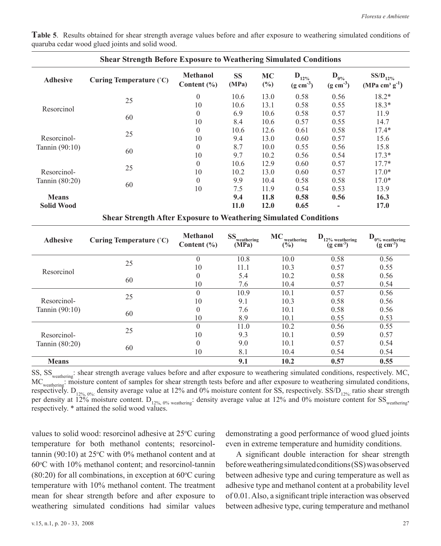| <b>Shear Strength Before Exposure to Weathering Simulated Conditions</b> |                         |                                    |                    |              |                                     |                                    |                                  |
|--------------------------------------------------------------------------|-------------------------|------------------------------------|--------------------|--------------|-------------------------------------|------------------------------------|----------------------------------|
| <b>Adhesive</b>                                                          | Curing Temperature (°C) | <b>Methanol</b><br>Content $(\% )$ | <b>SS</b><br>(MPa) | МC<br>$(\%)$ | $D_{12\%}$<br>$(g \text{ cm}^{-3})$ | $D_{0\%}$<br>$(g \text{ cm}^{-3})$ | $SS/D_{12\%}$<br>$(MPa cm3 g-1)$ |
|                                                                          | 25                      | $\theta$                           | 10.6               | 13.0         | 0.58                                | 0.56                               | $18.2*$                          |
| Resorcinol                                                               |                         | 10                                 | 10.6               | 13.1         | 0.58                                | 0.55                               | $18.3*$                          |
|                                                                          | 60                      | $\theta$                           | 6.9                | 10.6         | 0.58                                | 0.57                               | 11.9                             |
|                                                                          |                         | 10                                 | 8.4                | 10.6         | 0.57                                | 0.55                               | 14.7                             |
|                                                                          | 25                      | $\theta$                           | 10.6               | 12.6         | 0.61                                | 0.58                               | $17.4*$                          |
| Resorcinol-                                                              |                         | 10                                 | 9.4                | 13.0         | 0.60                                | 0.57                               | 15.6                             |
| Tannin $(90:10)$                                                         | 60                      | $\theta$                           | 8.7                | 10.0         | 0.55                                | 0.56                               | 15.8                             |
|                                                                          |                         | 10                                 | 9.7                | 10.2         | 0.56                                | 0.54                               | $17.3*$                          |
|                                                                          |                         | $\theta$                           | 10.6               | 12.9         | 0.60                                | 0.57                               | $17.7*$                          |
| Resorcinol-                                                              | 25                      | 10                                 | 10.2               | 13.0         | 0.60                                | 0.57                               | $17.0*$                          |
| Tannin (80:20)                                                           |                         | $\theta$                           | 9.9                | 10.4         | 0.58                                | 0.58                               | $17.0*$                          |
|                                                                          | 60                      | 10                                 | 7.5                | 11.9         | 0.54                                | 0.53                               | 13.9                             |
| <b>Means</b>                                                             |                         |                                    | 9.4                | 11.8         | 0.58                                | 0.56                               | 16.3                             |
| <b>Solid Wood</b>                                                        |                         |                                    | 11.0               | <b>12.0</b>  | 0.65                                |                                    | 17.0                             |

**Table 5**. Results obtained for shear strength average values before and after exposure to weathering simulated conditions of quaruba cedar wood glued joints and solid wood.

|  |  | <b>Shear Strength After Exposure to Weathering Simulated Conditions</b> |  |  |  |
|--|--|-------------------------------------------------------------------------|--|--|--|
|--|--|-------------------------------------------------------------------------|--|--|--|

| <b>Adhesive</b>               | Curing Temperature (°C) | <b>Methanol</b><br>Content $(\% )$ | <b>SS</b><br>weathering<br>(MPa) | МC<br>weathering<br>$\frac{6}{2}$ | D<br>12% weathering<br>$(g \text{ cm}^{-3})$ | D<br>$0\%$ weathering<br>$(g \text{ cm}^{-3})$ |
|-------------------------------|-------------------------|------------------------------------|----------------------------------|-----------------------------------|----------------------------------------------|------------------------------------------------|
|                               | 25                      | $\overline{0}$                     | 10.8                             | 10.0                              | 0.58                                         | 0.56                                           |
| Resorcinol                    |                         | 10                                 | 11.1                             | 10.3                              | 0.57                                         | 0.55                                           |
|                               | 60                      | $\theta$                           | 5.4                              | 10.2                              | 0.58                                         | 0.56                                           |
|                               |                         | 10                                 | 7.6                              | 10.4                              | 0.57                                         | 0.54                                           |
|                               | 25                      | $\theta$                           | 10.9                             | 10.1                              | 0.57                                         | 0.56                                           |
| Resorcinol-                   |                         | 10                                 | 9.1                              | 10.3                              | 0.58                                         | 0.56                                           |
| Tannin (90:10)                | 60                      | $\theta$                           | 7.6                              | 10.1                              | 0.58                                         | 0.56                                           |
|                               |                         | 10                                 | 8.9                              | 10.1                              | 0.55                                         | 0.53                                           |
|                               | 25                      | $\theta$                           | 11.0                             | 10.2                              | 0.56                                         | 0.55                                           |
| Resorcinol-<br>Tannin (80:20) |                         | 10                                 | 9.3                              | 10.1                              | 0.59                                         | 0.57                                           |
|                               |                         | $\Omega$                           | 9.0                              | 10.1                              | 0.57                                         | 0.54                                           |
|                               | 60                      | 10                                 | 8.1                              | 10.4                              | 0.54                                         | 0.54                                           |
| <b>Means</b>                  |                         |                                    | 9.1                              | 10.2                              | 0.57                                         | 0.55                                           |

SS, SS<sub>weathering</sub>: shear strength average values before and after exposure to weathering simulated conditions, respectively. MC, MC<sub>weathering</sub>: moisture content of samples for shear strength tests before and after exposure to weathering simulated conditions, respectively. D<sub>12%, 0%</sub>: density average value at 12% and 0% moisture content for SS, respectively. SS/D<sub>12%</sub>: ratio shear strength per density at  $12\%$  moisture content. D<sub>12%, 0%</sub> weathering: density average value at 12% and 0% moisture content for SS<sub>weathering</sub>, respectively. \* attained the solid wood values.

values to solid wood: resorcinol adhesive at 25°C curing temperature for both methanol contents; resorcinoltannin (90:10) at  $25^{\circ}$ C with 0% methanol content and at  $60^{\circ}$ C with 10% methanol content; and resorcinol-tannin  $(80:20)$  for all combinations, in exception at 60 $\degree$ C curing temperature with 10% methanol content. The treatment mean for shear strength before and after exposure to weathering simulated conditions had similar values

demonstrating a good performance of wood glued joints even in extreme temperature and humidity conditions.

A significant double interaction for shear strength before weathering simulated conditions (SS) was observed between adhesive type and curing temperature as well as adhesive type and methanol content at a probability level of 0.01. Also, a significant triple interaction was observed between adhesive type, curing temperature and methanol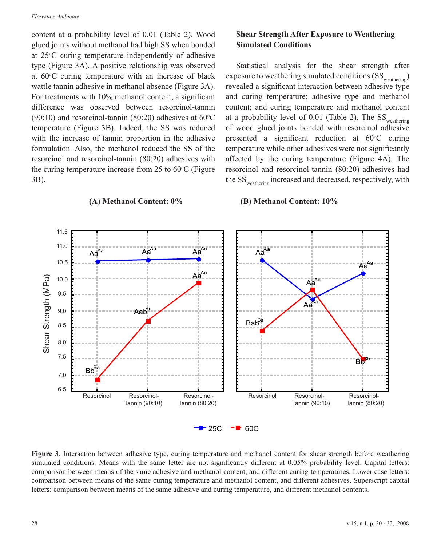#### *Floresta e Ambiente*

content at a probability level of 0.01 (Table 2). Wood glued joints without methanol had high SS when bonded at 25 °C curing temperature independently of adhesive type (Figure 3A). A positive relationship was observed at  $60^{\circ}$ C curing temperature with an increase of black wattle tannin adhesive in methanol absence (Figure 3A). For treatments with 10% methanol content, a significant difference was observed between resorcinol-tannin  $(90:10)$  and resorcinol-tannin  $(80:20)$  adhesives at 60<sup>o</sup>C temperature (Figure 3B). Indeed, the SS was reduced with the increase of tannin proportion in the adhesive formulation. Also, the methanol reduced the SS of the resorcinol and resorcinol-tannin (80:20) adhesives with the curing temperature increase from  $25$  to  $60^{\circ}$ C (Figure 3B).

## **Shear Strength After Exposure to Weathering Simulated Conditions**

Statistical analysis for the shear strength after exposure to weathering simulated conditions  $(SS_{\text{weathering}})$ revealed a significant interaction between adhesive type and curing temperature; adhesive type and methanol content; and curing temperature and methanol content at a probability level of 0.01 (Table 2). The  $SS_{\text{weather}}$ of wood glued joints bonded with resorcinol adhesive presented a significant reduction at  $60^{\circ}$ C curing temperature while other adhesives were not significantly affected by the curing temperature (Figure 4A). The resorcinol and resorcinol-tannin (80:20) adhesives had the SS<sub>weathering</sub> increased and decreased, respectively, with

## $-25C$   $-\blacksquare$  60C 6,5 6.57,0 7.0 7,5 7.5 8,0 8.0 8,5 8.5 9,0 9.0 9,5 9.5 10,0 10.0 10,5 10.5 11,0 11.0 11,5 11.5 Resorcinol 90%Res.+10%Tanino Tannin (90:10) Tannin (80:20) Tannin (90:10) Tannin (80:20) Resorcinol-<br>Tannin (80:20) Resorcinol Tannin (90:10) Resorcinol-<br>Tannin (80:20)  $Bb^{\overline{B}}$  $BaB<sup>Ba</sup>$  $B_{\mathbf{p}_i}$ Aab<sup>A</sup>  $Aa^{Aa}$   $Aa^{Aa}$   $Aa^{Aa}$ Aa<sup>Aa</sup> Aa<sup>Aa</sup> Aa Aa Aa Aa **Example 10.0**<br>
Example 10.0<br>  $\frac{1}{2}$  and  $\frac{1}{2}$  and  $\frac{1}{2}$  and  $\frac{1}{2}$  and  $\frac{1}{2}$  and  $\frac{1}{2}$  and  $\frac{1}{2}$  and  $\frac{1}{2}$  and  $\frac{1}{2}$  and  $\frac{1}{2}$  and  $\frac{1}{2}$  and  $\frac{1}{2}$  and  $\frac{1}{2}$  and  $\frac{1}{2}$ Resorcinol Resorcinol- Resorcinol- Resorcinol Resorcinol- Resorcinol-

## **(A) Methanol Content: 0% (B) Methanol Content: 10%**

**Figure 3**. Interaction between adhesive type, curing temperature and methanol content for shear strength before weathering simulated conditions. Means with the same letter are not significantly different at 0.05% probability level. Capital letters: comparison between means of the same adhesive and methanol content, and different curing temperatures. Lower case letters: comparison between means of the same curing temperature and methanol content, and different adhesives. Superscript capital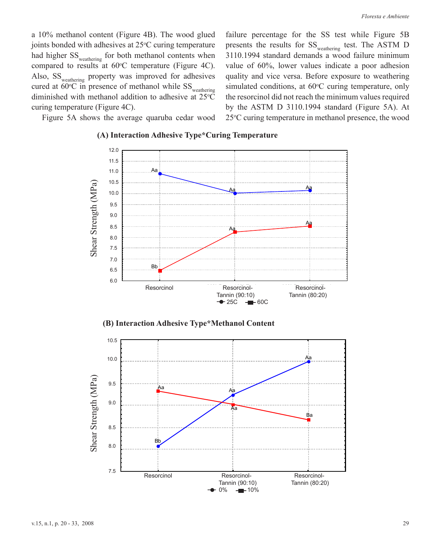failure percentage for the SS test while Figure 5B presents the results for SS<sub>weathering</sub> test. The ASTM D 3110.1994 standard demands a wood failure minimum value of 60%, lower values indicate a poor adhesion quality and vice versa. Before exposure to weathering simulated conditions, at  $60^{\circ}$ C curing temperature, only the resorcinol did not reach the minimum values required by the ASTM D 3110.1994 standard (Figure 5A). At 25 °C curing temperature in methanol presence, the wood

a 10% methanol content (Figure 4B). The wood glued joints bonded with adhesives at  $25^{\circ}$ C curing temperature had higher SS<sub>weathering</sub> for both methanol contents when compared to results at  $60^{\circ}$ C temperature (Figure 4C). Also, SS<sub>weathering</sub> property was improved for adhesives cured at  $60^{\circ}$ C in presence of methanol while  $SS_{\text{weathering}}$ diminished with methanol addition to adhesive at  $25^{\circ}$ C curing temperature (Figure 4C).

Figure 5A shows the average quaruba cedar wood



### **(A) Interaction Adhesive Type\*Curing Temperature**

**(B) Interaction Adhesive Type\*Methanol Content**

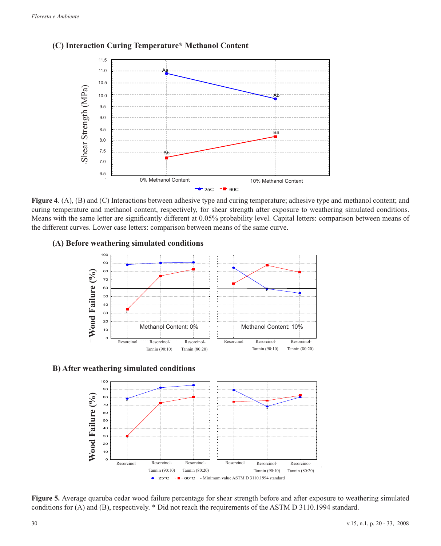

# **(C) Interaction Curing Temperature\* Methanol Content**

**Figure 4**. (A), (B) and (C) Interactions between adhesive type and curing temperature; adhesive type and methanol content; and curing temperature and methanol content, respectively, for shear strength after exposure to weathering simulated conditions. Means with the same letter are significantly different at 0.05% probability level. Capital letters: comparison between means of the different curves. Lower case letters: comparison between means of the same curve.

## **(A) Before weathering simulated conditions**



## **B) After weathering simulated conditions**



**Figure 5.** Average quaruba cedar wood failure percentage for shear strength before and after exposure to weathering simulated conditions for (A) and (B), respectively. \* Did not reach the requirements of the ASTM D 3110.1994 standard.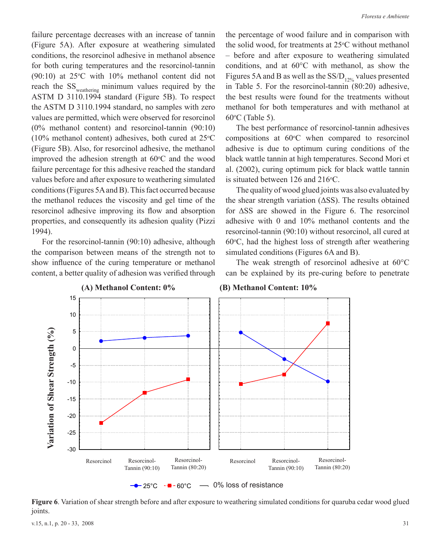failure percentage decreases with an increase of tannin (Figure 5A). After exposure at weathering simulated conditions, the resorcinol adhesive in methanol absence for both curing temperatures and the resorcinol-tannin  $(90:10)$  at 25<sup>o</sup>C with 10% methanol content did not reach the SS<sub>weathering</sub> minimum values required by the ASTM D 3110.1994 standard (Figure 5B). To respect the ASTM D 3110.1994 standard, no samples with zero values are permitted, which were observed for resorcinol (0% methanol content) and resorcinol-tannin (90:10)  $(10\% \text{ methanol content})$  adhesives, both cured at  $25\degree \text{C}$ (Figure 5B). Also, for resorcinol adhesive, the methanol improved the adhesion strength at  $60^{\circ}$ C and the wood failure percentage for this adhesive reached the standard values before and after exposure to weathering simulated conditions (Figures 5A and B). This fact occurred because the methanol reduces the viscosity and gel time of the resorcinol adhesive improving its flow and absorption properties, and consequently its adhesion quality (Pizzi 1994).

For the resorcinol-tannin (90:10) adhesive, although the comparison between means of the strength not to show influence of the curing temperature or methanol content, a better quality of adhesion was verified through the percentage of wood failure and in comparison with the solid wood, for treatments at  $25^{\circ}$ C without methanol – before and after exposure to weathering simulated conditions, and at 60°C with methanol, as show the Figures 5A and B as well as the  $SS/D_{12\%}$  values presented in Table 5. For the resorcinol-tannin (80:20) adhesive, the best results were found for the treatments without methanol for both temperatures and with methanol at  $60^{\circ}$ C (Table 5).

The best performance of resorcinol-tannin adhesives compositions at  $60^{\circ}$ C when compared to resorcinol adhesive is due to optimum curing conditions of the black wattle tannin at high temperatures. Second Mori et al. (2002), curing optimum pick for black wattle tannin is situated between  $126$  and  $216$ <sup>o</sup>C.

The quality of wood glued joints was also evaluated by the shear strength variation (ΔSS). The results obtained for ΔSS are showed in the Figure 6. The resorcinol adhesive with 0 and 10% methanol contents and the resorcinol-tannin (90:10) without resorcinol, all cured at  $60^{\circ}$ C, had the highest loss of strength after weathering simulated conditions (Figures 6A and B).

The weak strength of resorcinol adhesive at 60°C can be explained by its pre-curing before to penetrate



**Figure 6**. Variation of shear strength before and after exposure to weathering simulated conditions for quaruba cedar wood glued joints.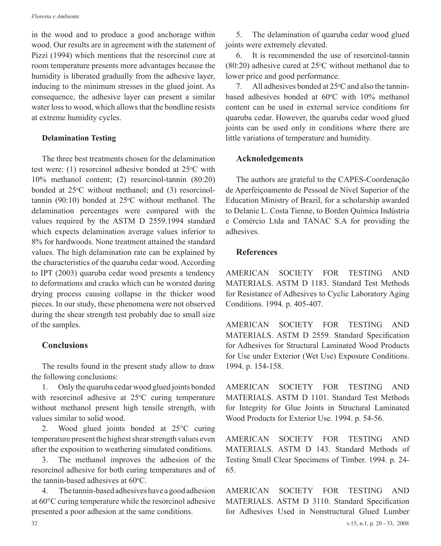#### *Floresta e Ambiente*

in the wood and to produce a good anchorage within wood. Our results are in agreement with the statement of Pizzi (1994) which mentions that the resorcinol cure at room temperature presents more advantages because the humidity is liberated gradually from the adhesive layer, inducing to the minimum stresses in the glued joint. As consequence, the adhesive layer can present a similar water loss to wood, which allows that the bondline resists at extreme humidity cycles.

### **Delamination Testing**

The three best treatments chosen for the delamination test were: (1) resorcinol adhesive bonded at  $25^{\circ}$ C with 10% methanol content; (2) resorcinol-tannin (80:20) bonded at 25<sup>o</sup>C without methanol; and (3) resorcinol $tannin (90:10)$  bonded at  $25^{\circ}$ C without methanol. The delamination percentages were compared with the values required by the ASTM D 2559.1994 standard which expects delamination average values inferior to 8% for hardwoods. None treatment attained the standard values. The high delamination rate can be explained by the characteristics of the quaruba cedar wood. According to IPT (2003) quaruba cedar wood presents a tendency to deformations and cracks which can be worsted during drying process causing collapse in the thicker wood pieces. In our study, these phenomena were not observed during the shear strength test probably due to small size of the samples.

# **Conclusions**

The results found in the present study allow to draw the following conclusions:

1. Only the quaruba cedar wood glued joints bonded with resorcinol adhesive at  $25^{\circ}$ C curing temperature without methanol present high tensile strength, with values similar to solid wood.

2. Wood glued joints bonded at 25°C curing temperature present the highest shear strength values even after the exposition to weathering simulated conditions.

3. The methanol improves the adhesion of the resorcinol adhesive for both curing temperatures and of the tannin-based adhesives at  $60^{\circ}$ C.

4. The tannin-based adhesives have a good adhesion at 60°C curing temperature while the resorcinol adhesive presented a poor adhesion at the same conditions.

5. The delamination of quaruba cedar wood glued joints were extremely elevated.

6. It is recommended the use of resorcinol-tannin  $(80:20)$  adhesive cured at 25<sup>o</sup>C without methanol due to lower price and good performance.

7. All adhesives bonded at  $25^{\circ}$ C and also the tanninbased adhesives bonded at  $60^{\circ}$ C with  $10\%$  methanol content can be used in external service conditions for quaruba cedar. However, the quaruba cedar wood glued joints can be used only in conditions where there are little variations of temperature and humidity.

## **Acknoledgements**

The authors are grateful to the CAPES-Coordenação de Aperfeiçoamento de Pessoal de Nível Superior of the Education Ministry of Brazil, for a scholarship awarded to Delanie L. Costa Tienne, to Borden Química Indústria e Comércio Ltda and TANAC S.A for providing the adhesives.

## **References**

AMERICAN SOCIETY FOR TESTING AND MATERIALS. ASTM D 1183. Standard Test Methods for Resistance of Adhesives to Cyclic Laboratory Aging Conditions. 1994. p. 405-407.

AMERICAN SOCIETY FOR TESTING AND MATERIALS. ASTM D 2559. Standard Specification for Adhesives for Structural Laminated Wood Products for Use under Exterior (Wet Use) Exposure Conditions. 1994. p. 154-158.

AMERICAN SOCIETY FOR TESTING AND MATERIALS. ASTM D 1101. Standard Test Methods for Integrity for Glue Joints in Structural Laminated Wood Products for Exterior Use. 1994. p. 54-56.

AMERICAN SOCIETY FOR TESTING AND MATERIALS. ASTM D 143. Standard Methods of Testing Small Clear Specimens of Timber. 1994. p. 24- 65.

AMERICAN SOCIETY FOR TESTING AND MATERIALS. ASTM D 3110. Standard Specification for Adhesives Used in Nonstructural Glued Lumber